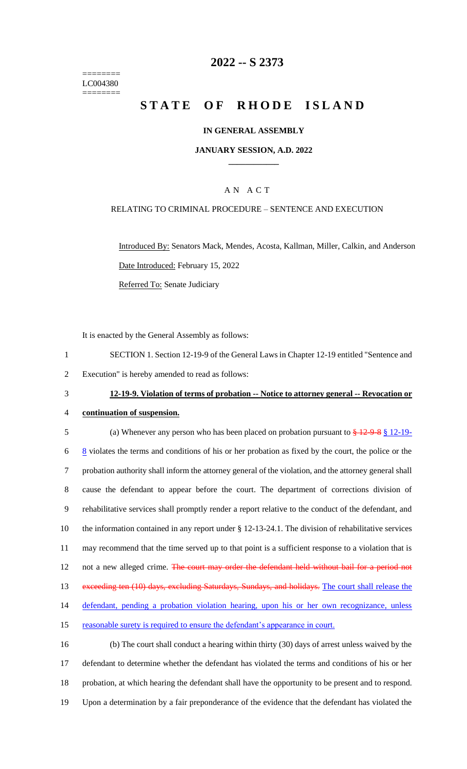======== LC004380 ========

# **2022 -- S 2373**

# **STATE OF RHODE ISLAND**

### **IN GENERAL ASSEMBLY**

### **JANUARY SESSION, A.D. 2022 \_\_\_\_\_\_\_\_\_\_\_\_**

## A N A C T

### RELATING TO CRIMINAL PROCEDURE – SENTENCE AND EXECUTION

Introduced By: Senators Mack, Mendes, Acosta, Kallman, Miller, Calkin, and Anderson Date Introduced: February 15, 2022 Referred To: Senate Judiciary

It is enacted by the General Assembly as follows:

- 1 SECTION 1. Section 12-19-9 of the General Laws in Chapter 12-19 entitled "Sentence and
- 2 Execution" is hereby amended to read as follows:
- 

### 3 **12-19-9. Violation of terms of probation -- Notice to attorney general -- Revocation or**

4 **continuation of suspension.**

5 (a) Whenever any person who has been placed on probation pursuant to  $\frac{129.8 \times 12.19}{12.19}$  $\frac{8}{3}$  violates the terms and conditions of his or her probation as fixed by the court, the police or the 7 probation authority shall inform the attorney general of the violation, and the attorney general shall 8 cause the defendant to appear before the court. The department of corrections division of 9 rehabilitative services shall promptly render a report relative to the conduct of the defendant, and 10 the information contained in any report under § 12-13-24.1. The division of rehabilitative services 11 may recommend that the time served up to that point is a sufficient response to a violation that is 12 not a new alleged crime. The court may order the defendant held without bail for a period not 13 exceeding ten (10) days, excluding Saturdays, Sundays, and holidays. The court shall release the 14 defendant, pending a probation violation hearing, upon his or her own recognizance, unless 15 reasonable surety is required to ensure the defendant's appearance in court. 16 (b) The court shall conduct a hearing within thirty (30) days of arrest unless waived by the

17 defendant to determine whether the defendant has violated the terms and conditions of his or her 18 probation, at which hearing the defendant shall have the opportunity to be present and to respond. 19 Upon a determination by a fair preponderance of the evidence that the defendant has violated the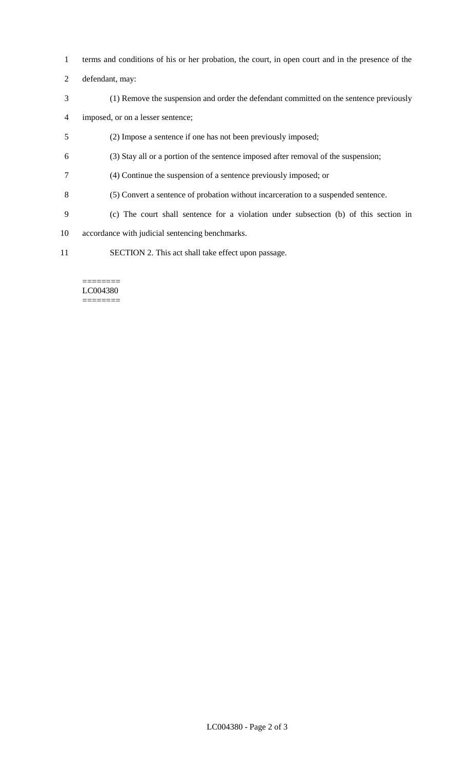- terms and conditions of his or her probation, the court, in open court and in the presence of the
- defendant, may:
- (1) Remove the suspension and order the defendant committed on the sentence previously
- imposed, or on a lesser sentence;
- (2) Impose a sentence if one has not been previously imposed;
- (3) Stay all or a portion of the sentence imposed after removal of the suspension;
- (4) Continue the suspension of a sentence previously imposed; or
- (5) Convert a sentence of probation without incarceration to a suspended sentence.
- (c) The court shall sentence for a violation under subsection (b) of this section in
- accordance with judicial sentencing benchmarks.
- SECTION 2. This act shall take effect upon passage.

#### ======== LC004380 ========